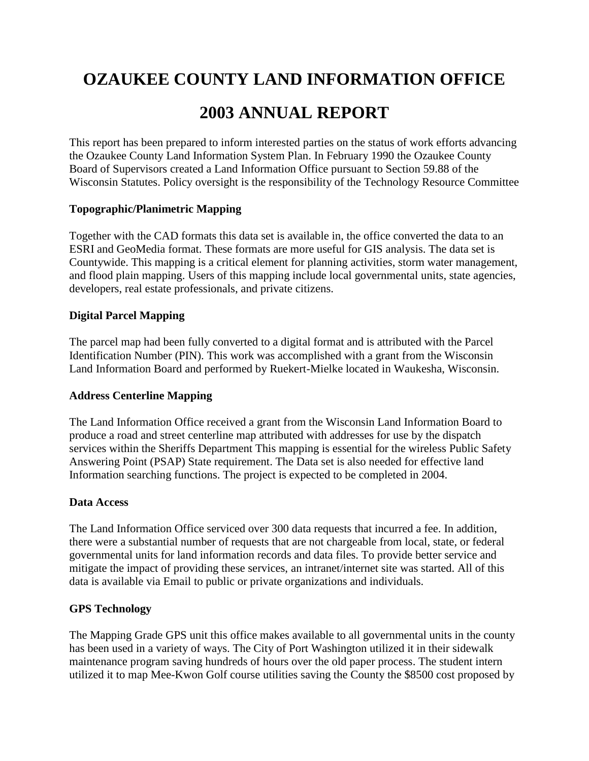# **OZAUKEE COUNTY LAND INFORMATION OFFICE**

## **2003 ANNUAL REPORT**

This report has been prepared to inform interested parties on the status of work efforts advancing the Ozaukee County Land Information System Plan. In February 1990 the Ozaukee County Board of Supervisors created a Land Information Office pursuant to Section 59.88 of the Wisconsin Statutes. Policy oversight is the responsibility of the Technology Resource Committee

#### **Topographic/Planimetric Mapping**

Together with the CAD formats this data set is available in, the office converted the data to an ESRI and GeoMedia format. These formats are more useful for GIS analysis. The data set is Countywide. This mapping is a critical element for planning activities, storm water management, and flood plain mapping. Users of this mapping include local governmental units, state agencies, developers, real estate professionals, and private citizens.

#### **Digital Parcel Mapping**

The parcel map had been fully converted to a digital format and is attributed with the Parcel Identification Number (PIN). This work was accomplished with a grant from the Wisconsin Land Information Board and performed by Ruekert-Mielke located in Waukesha, Wisconsin.

#### **Address Centerline Mapping**

The Land Information Office received a grant from the Wisconsin Land Information Board to produce a road and street centerline map attributed with addresses for use by the dispatch services within the Sheriffs Department This mapping is essential for the wireless Public Safety Answering Point (PSAP) State requirement. The Data set is also needed for effective land Information searching functions. The project is expected to be completed in 2004.

#### **Data Access**

The Land Information Office serviced over 300 data requests that incurred a fee. In addition, there were a substantial number of requests that are not chargeable from local, state, or federal governmental units for land information records and data files. To provide better service and mitigate the impact of providing these services, an intranet/internet site was started. All of this data is available via Email to public or private organizations and individuals.

#### **GPS Technology**

The Mapping Grade GPS unit this office makes available to all governmental units in the county has been used in a variety of ways. The City of Port Washington utilized it in their sidewalk maintenance program saving hundreds of hours over the old paper process. The student intern utilized it to map Mee-Kwon Golf course utilities saving the County the \$8500 cost proposed by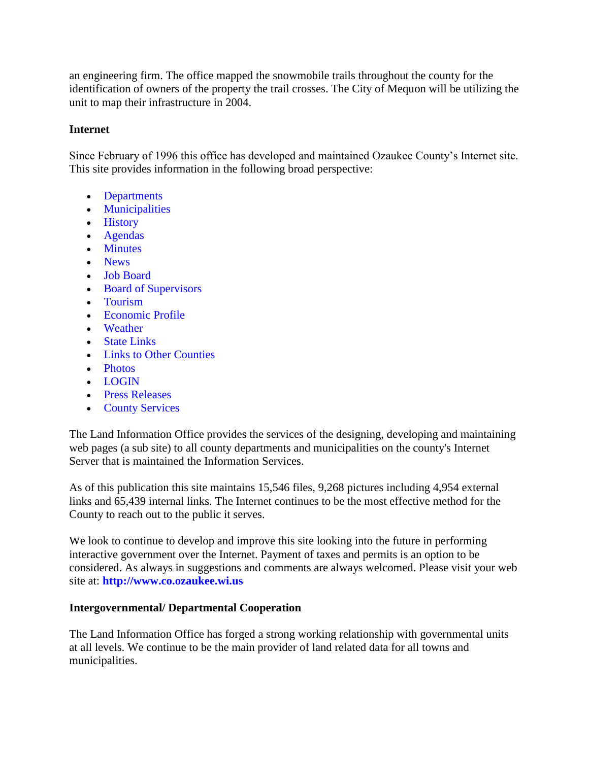an engineering firm. The office mapped the snowmobile trails throughout the county for the identification of owners of the property the trail crosses. The City of Mequon will be utilizing the unit to map their infrastructure in 2004.

## **Internet**

Since February of 1996 this office has developed and maintained Ozaukee County's Internet site. This site provides information in the following broad perspective:

- [Departments](http://www.co.ozaukee.wi.us/county.html)
- [Municipalities](http://www.co.ozaukee.wi.us/muni.html)
- [History](http://www.co.ozaukee.wi.us/history/history.html)
- [Agendas](http://www.co.ozaukee.wi.us/Agenda/Index.htm)
- [Minutes](http://www.co.ozaukee.wi.us/minutes/minutes.html)
- [News](http://www.co.ozaukee.wi.us/Newslink/index.htm)
- [Job Board](http://www.co.ozaukee.wi.us/Newslink/index.htm)
- [Board of Supervisors](http://www.co.ozaukee.wi.us/Board/board.html)
- [Tourism](http://www.ozaukeetourism.com/)
- [Economic Profile](http://www.ozaukeetourism.com/)
- [Weather](http://www.co.ozaukee.wi.us/AboutUs/weather.html)
- [State Links](http://www.co.ozaukee.wi.us/WisconsinLinks.htm)
- [Links to Other Counties](http://www.co.ozaukee.wi.us/Main/countylinks.htm)
- [Photos](http://www.co.ozaukee.wi.us/Photos/Index.htm)
- [LOGIN](http://www.co.ozaukee.wi.us/LOGIN/Index.htm)
- [Press Releases](http://www.co.ozaukee.wi.us/PressReleases/Index.htm)
- [County Services](http://www.co.ozaukee.wi.us/ServicesDirectory.htm)

The Land Information Office provides the services of the designing, developing and maintaining web pages (a sub site) to all county departments and municipalities on the county's Internet Server that is maintained the Information Services.

As of this publication this site maintains 15,546 files, 9,268 pictures including 4,954 external links and 65,439 internal links. The Internet continues to be the most effective method for the County to reach out to the public it serves.

We look to continue to develop and improve this site looking into the future in performing interactive government over the Internet. Payment of taxes and permits is an option to be considered. As always in suggestions and comments are always welcomed. Please visit your web site at: **[http://www.co.ozaukee.wi.us](http://www.co.ozaukee.wi.us/Index.htm)**

## **Intergovernmental/ Departmental Cooperation**

The Land Information Office has forged a strong working relationship with governmental units at all levels. We continue to be the main provider of land related data for all towns and municipalities.